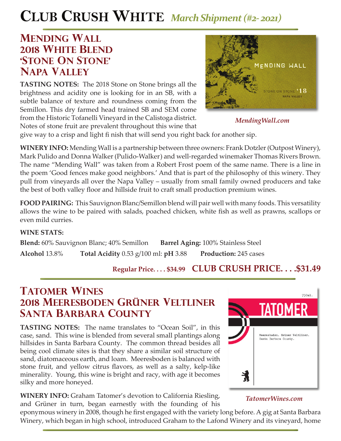# **CLUB CRUSH WHITE** *March Shipment (#2- 2021)*

## **mending wall 2018 white blend 'stone on stone' napa valley**

**TASTING NOTES:** The 2018 Stone on Stone brings all the brightness and acidity one is looking for in an SB, with a subtle balance of texture and roundness coming from the Semillon. This dry farmed head trained SB and SEM come from the Historic Tofanelli Vineyard in the Calistoga district. Notes of stone fruit are prevalent throughout this wine that



*MendingWall.com*

give way to a crisp and light fi nish that will send you right back for another sip.

**WINERY INFO:** Mending Wall is a partnership between three owners: Frank Dotzler (Outpost Winery), Mark Pulido and Donna Walker (Pulido-Walker) and well-regarded winemaker Thomas Rivers Brown. The name "Mending Wall" was taken from a Robert Frost poem of the same name. There is a line in the poem 'Good fences make good neighbors.' And that is part of the philosophy of this winery. They pull from vineyards all over the Napa Valley – usually from small family owned producers and take the best of both valley floor and hillside fruit to craft small production premium wines.

**FOOD PAIRING:** This Sauvignon Blanc/Semillon blend will pair well with many foods. This versatility allows the wine to be paired with salads, poached chicken, white fish as well as prawns, scallops or even mild curries.

### **WINE STATS:**

**Blend:** 60% Sauvignon Blanc; 40% Semillon **Barrel Aging:** 100% Stainless Steel **Alcohol** 13.8% **Total Acidity** 0.53 g/100 ml: **pH** 3.88 **Production:** 245 cases

## **Regular Price. . . . \$34.99 CLUB CRUSH PRICE. . . .\$31.49**

# **TATOMER WINES 2018 meeresboden Grüner Veltliner santa barbara County**

**TASTING NOTES:** The name translates to "Ocean Soil", in this case, sand. This wine is blended from several small plantings along hillsides in Santa Barbara County. The common thread besides all being cool climate sites is that they share a similar soil structure of sand, diatomaceous earth, and loam. Meeresboden is balanced with stone fruit, and yellow citrus flavors, as well as a salty, kelp-like minerality. Young, this wine is bright and racy, with age it becomes silky and more honeyed.

**WINERY INFO:** Graham Tatomer's devotion to California Riesling, and Grüner in turn, began earnestly with the founding of his



### *TatomerWines.com*

eponymous winery in 2008, though he first engaged with the variety long before. A gig at Santa Barbara Winery, which began in high school, introduced Graham to the Lafond Winery and its vineyard, home